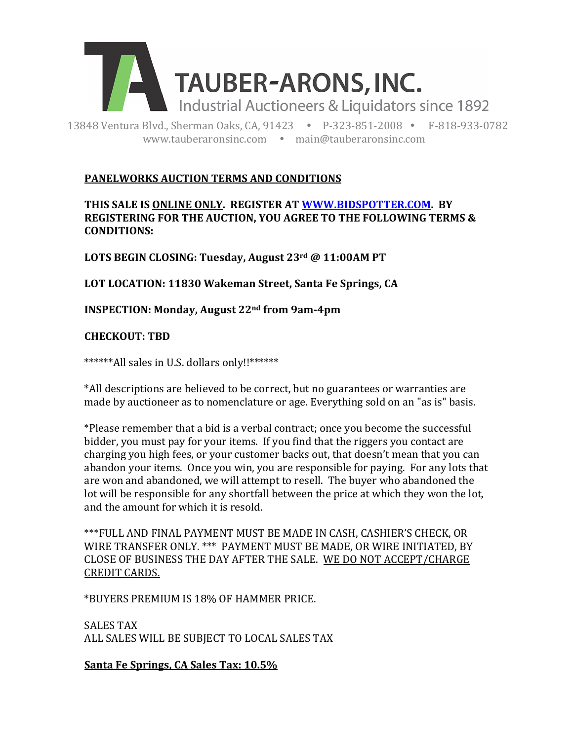

13848 Ventura Blvd., Sherman Oaks, CA, 91423 . P-323-851-2008 · F-818-933-0782 www.tauberaronsinc.com • main@tauberaronsinc.com

## **PANELWORKS AUCTION TERMS AND CONDITIONS**

### THIS SALE IS ONLINE ONLY. REGISTER AT WWW.BIDSPOTTER.COM. BY **REGISTERING FOR THE AUCTION, YOU AGREE TO THE FOLLOWING TERMS & CONDITIONS:**

LOTS BEGIN CLOSING: Tuesday, August 23rd @ 11:00AM PT

LOT LOCATION: 11830 Wakeman Street, Santa Fe Springs, CA

**INSPECTION: Monday, August 22<sup>nd</sup> from 9am-4pm** 

## **CHECKOUT: TBD**

\*\*\*\*\*\*All sales in U.S. dollars only!!\*\*\*\*\*\*

\*All descriptions are believed to be correct, but no guarantees or warranties are made by auctioneer as to nomenclature or age. Everything sold on an "as is" basis.

\*Please remember that a bid is a verbal contract; once you become the successful bidder, you must pay for your items. If you find that the riggers you contact are charging you high fees, or your customer backs out, that doesn't mean that you can abandon your items. Once you win, you are responsible for paying. For any lots that are won and abandoned, we will attempt to resell. The buyer who abandoned the lot will be responsible for any shortfall between the price at which they won the lot, and the amount for which it is resold.

\*\*\*FULL AND FINAL PAYMENT MUST BE MADE IN CASH, CASHIER'S CHECK, OR WIRE TRANSFER ONLY. \*\*\* PAYMENT MUST BE MADE, OR WIRE INITIATED, BY CLOSE OF BUSINESS THE DAY AFTER THE SALE. WE DO NOT ACCEPT/CHARGE **CREDIT CARDS.** 

\*BUYERS PREMIUM IS 18% OF HAMMER PRICE.

SALES TAX ALL SALES WILL BE SUBJECT TO LOCAL SALES TAX

Santa Fe Springs, CA Sales Tax: 10.5%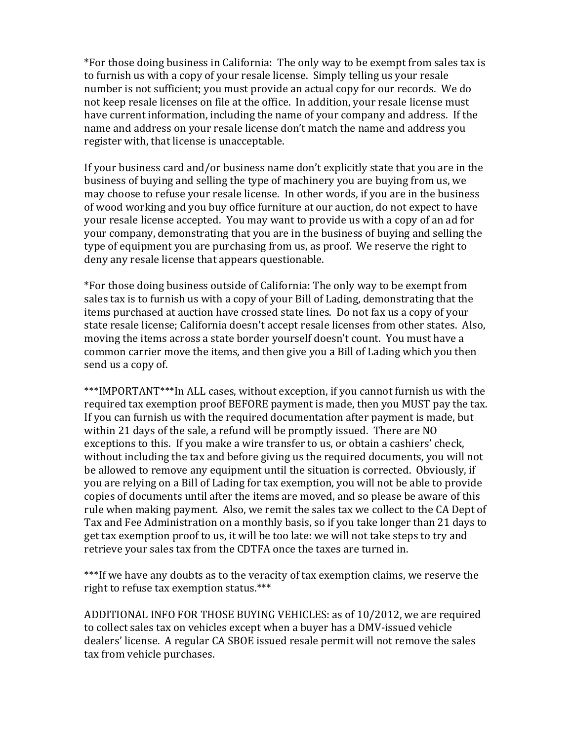\*For those doing business in California: The only way to be exempt from sales tax is to furnish us with a copy of your resale license. Simply telling us your resale number is not sufficient; you must provide an actual copy for our records. We do not keep resale licenses on file at the office. In addition, your resale license must have current information, including the name of your company and address. If the name and address on your resale license don't match the name and address you register with, that license is unacceptable.

If your business card and/or business name don't explicitly state that you are in the business of buying and selling the type of machinery you are buying from us, we may choose to refuse your resale license. In other words, if you are in the business of wood working and you buy office furniture at our auction, do not expect to have your resale license accepted. You may want to provide us with a copy of an ad for your company, demonstrating that you are in the business of buying and selling the type of equipment you are purchasing from us, as proof. We reserve the right to deny any resale license that appears questionable.

\*For those doing business outside of California: The only way to be exempt from sales tax is to furnish us with a copy of your Bill of Lading, demonstrating that the items purchased at auction have crossed state lines. Do not fax us a copy of your state resale license; California doesn't accept resale licenses from other states. Also, moving the items across a state border yourself doesn't count. You must have a common carrier move the items, and then give you a Bill of Lading which you then send us a copy of.

\*\*\*IMPORTANT\*\*\*In ALL cases, without exception, if you cannot furnish us with the required tax exemption proof BEFORE payment is made, then you MUST pay the tax. If you can furnish us with the required documentation after payment is made, but within 21 days of the sale, a refund will be promptly issued. There are NO exceptions to this. If you make a wire transfer to us, or obtain a cashiers' check, without including the tax and before giving us the required documents, you will not be allowed to remove any equipment until the situation is corrected. Obviously, if you are relying on a Bill of Lading for tax exemption, you will not be able to provide copies of documents until after the items are moved, and so please be aware of this rule when making payment. Also, we remit the sales tax we collect to the CA Dept of Tax and Fee Administration on a monthly basis, so if you take longer than 21 days to get tax exemption proof to us, it will be too late: we will not take steps to try and retrieve your sales tax from the CDTFA once the taxes are turned in.

\*\*\*If we have any doubts as to the veracity of tax exemption claims, we reserve the right to refuse tax exemption status.\*\*\*

ADDITIONAL INFO FOR THOSE BUYING VEHICLES: as of 10/2012, we are required to collect sales tax on vehicles except when a buyer has a DMV-issued vehicle dealers' license. A regular CA SBOE issued resale permit will not remove the sales tax from vehicle purchases.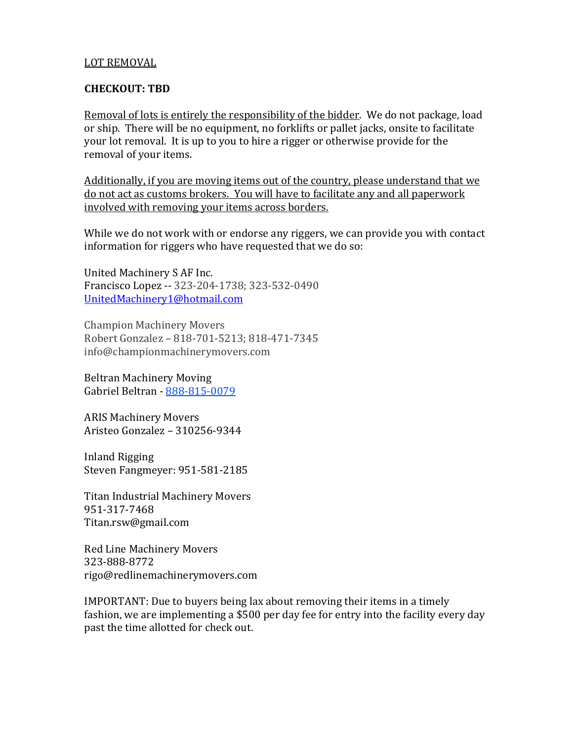#### LOT REMOVAL

#### **CHECKOUT: TBD**

Removal of lots is entirely the responsibility of the bidder. We do not package, load or ship. There will be no equipment, no forklifts or pallet jacks, onsite to facilitate your lot removal. It is up to you to hire a rigger or otherwise provide for the removal of your items.

Additionally, if you are moving items out of the country, please understand that we do not act as customs brokers. You will have to facilitate any and all paperwork involved with removing your items across borders.

While we do not work with or endorse any riggers, we can provide you with contact information for riggers who have requested that we do so:

United Machinery S AF Inc. Francisco Lopez -- 323-204-1738; 323-532-0490 UnitedMachinery1@hotmail.com

Champion Machinery Movers Robert Gonzalez - 818-701-5213; 818-471-7345 info@championmachinerymovers.com

Beltran Machinery Moving Gabriel Beltran - 888-815-0079

**ARIS Machinery Movers** Aristeo Gonzalez - 310256-9344

Inland Rigging Steven Fangmeyer: 951-581-2185

Titan Industrial Machinery Movers 951-317-7468 Titan.rsw@gmail.com

Red Line Machinery Movers 323-888-8772 rigo@redlinemachinerymovers.com

IMPORTANT: Due to buyers being lax about removing their items in a timely fashion, we are implementing a \$500 per day fee for entry into the facility every day past the time allotted for check out.